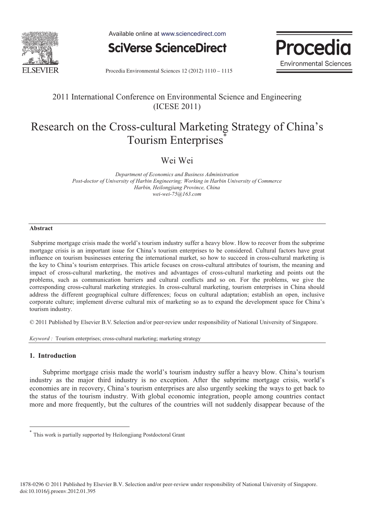

Available online at www.sciencedirect.com



**Procedia Environmental Sciences** 

Procedia Environmental Sciences 12 (2012) 1110 - 1115

# 2011 International Conference on Environmental Science and Engineering (ICESE 2011)

# Research on the Cross-cultural Marketing Strategy of China's Tourism Enterprises\*

Wei Wei

*Department of Economics and Business Administration Post-doctor of University of Harbin Engineering; Working in Harbin University of Commerce Harbin, Heilongjiang Province, China wei-wei-75@163.com* 

#### **Abstract**

 Subprime mortgage crisis made the world's tourism industry suffer a heavy blow. How to recover from the subprime mortgage crisis is an important issue for China's tourism enterprises to be considered. Cultural factors have great influence on tourism businesses entering the international market, so how to succeed in cross-cultural marketing is the key to China's tourism enterprises. This article focuses on cross-cultural attributes of tourism, the meaning and impact of cross-cultural marketing, the motives and advantages of cross-cultural marketing and points out the problems, such as communication barriers and cultural conflicts and so on. For the problems, we give the corresponding cross-cultural marketing strategies. In cross-cultural marketing, tourism enterprises in China should address the different geographical culture differences; focus on cultural adaptation; establish an open, inclusive corporate culture; implement diverse cultural mix of marketing so as to expand the development space for China's tourism industry.

© 2011 Published by Elsevier B.V. Selection and/or peer-review under responsibility of National University of Singapore.

*Keyword :* Tourism enterprises; cross-cultural marketing; marketing strategy

# **1. Introduction**

 $\overline{a}$ 

 Subprime mortgage crisis made the world's tourism industry suffer a heavy blow. China's tourism industry as the major third industry is no exception. After the subprime mortgage crisis, world's economies are in recovery, China's tourism enterprises are also urgently seeking the ways to get back to the status of the tourism industry. With global economic integration, people among countries contact more and more frequently, but the cultures of the countries will not suddenly disappear because of the

This work is partially supported by Heilongjiang Postdoctoral Grant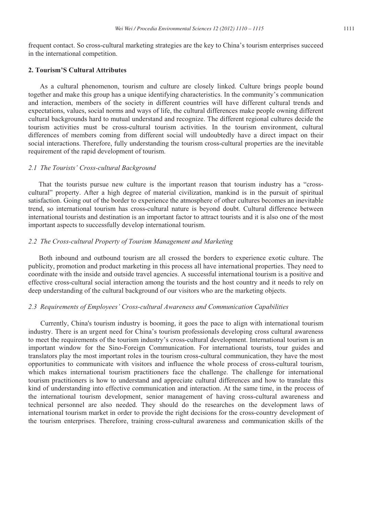frequent contact. So cross-cultural marketing strategies are the key to China's tourism enterprises succeed in the international competition.

## **2. Tourism'S Cultural Attributes**

As a cultural phenomenon, tourism and culture are closely linked. Culture brings people bound together and make this group has a unique identifying characteristics. In the community's communication and interaction, members of the society in different countries will have different cultural trends and expectations, values, social norms and ways of life, the cultural differences make people owning different cultural backgrounds hard to mutual understand and recognize. The different regional cultures decide the tourism activities must be cross-cultural tourism activities. In the tourism environment, cultural differences of members coming from different social will undoubtedly have a direct impact on their social interactions. Therefore, fully understanding the tourism cross-cultural properties are the inevitable requirement of the rapid development of tourism.

### *2.1 The Tourists' Cross-cultural Background*

That the tourists pursue new culture is the important reason that tourism industry has a "crosscultural" property. After a high degree of material civilization, mankind is in the pursuit of spiritual satisfaction. Going out of the border to experience the atmosphere of other cultures becomes an inevitable trend, so international tourism has cross-cultural nature is beyond doubt. Cultural difference between international tourists and destination is an important factor to attract tourists and it is also one of the most important aspects to successfully develop international tourism.

### *2.2 The Cross-cultural Property of Tourism Management and Marketing*

Both inbound and outbound tourism are all crossed the borders to experience exotic culture. The publicity, promotion and product marketing in this process all have international properties. They need to coordinate with the inside and outside travel agencies. A successful international tourism is a positive and effective cross-cultural social interaction among the tourists and the host country and it needs to rely on deep understanding of the cultural background of our visitors who are the marketing objects.

### *2.3 Requirements of Employees' Cross-cultural Awareness and Communication Capabilities*

Currently, China's tourism industry is booming, it goes the pace to align with international tourism industry. There is an urgent need for China's tourism professionals developing cross cultural awareness to meet the requirements of the tourism industry's cross-cultural development. International tourism is an important window for the Sino-Foreign Communication. For international tourists, tour guides and translators play the most important roles in the tourism cross-cultural communication, they have the most opportunities to communicate with visitors and influence the whole process of cross-cultural tourism, which makes international tourism practitioners face the challenge. The challenge for international tourism practitioners is how to understand and appreciate cultural differences and how to translate this kind of understanding into effective communication and interaction. At the same time, in the process of the international tourism development, senior management of having cross-cultural awareness and technical personnel are also needed. They should do the researches on the development laws of international tourism market in order to provide the right decisions for the cross-country development of the tourism enterprises. Therefore, training cross-cultural awareness and communication skills of the